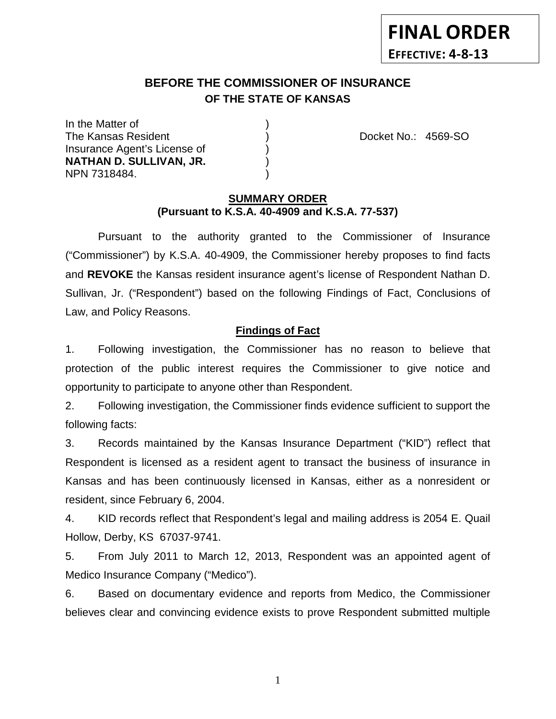# **FINAL ORDER EFFECTIVE: 4-8-13**

## **BEFORE THE COMMISSIONER OF INSURANCE OF THE STATE OF KANSAS**

In the Matter of ) The Kansas Resident ) Docket No.: 4569-SO Insurance Agent's License of ) **NATHAN D. SULLIVAN, JR.** ) NPN 7318484. )

### **SUMMARY ORDER (Pursuant to K.S.A. 40-4909 and K.S.A. 77-537)**

Pursuant to the authority granted to the Commissioner of Insurance ("Commissioner") by K.S.A. 40-4909, the Commissioner hereby proposes to find facts and **REVOKE** the Kansas resident insurance agent's license of Respondent Nathan D. Sullivan, Jr. ("Respondent") based on the following Findings of Fact, Conclusions of Law, and Policy Reasons.

## **Findings of Fact**

1. Following investigation, the Commissioner has no reason to believe that protection of the public interest requires the Commissioner to give notice and opportunity to participate to anyone other than Respondent.

2. Following investigation, the Commissioner finds evidence sufficient to support the following facts:

3. Records maintained by the Kansas Insurance Department ("KID") reflect that Respondent is licensed as a resident agent to transact the business of insurance in Kansas and has been continuously licensed in Kansas, either as a nonresident or resident, since February 6, 2004.

4. KID records reflect that Respondent's legal and mailing address is 2054 E. Quail Hollow, Derby, KS 67037-9741.

5. From July 2011 to March 12, 2013, Respondent was an appointed agent of Medico Insurance Company ("Medico").

6. Based on documentary evidence and reports from Medico, the Commissioner believes clear and convincing evidence exists to prove Respondent submitted multiple

1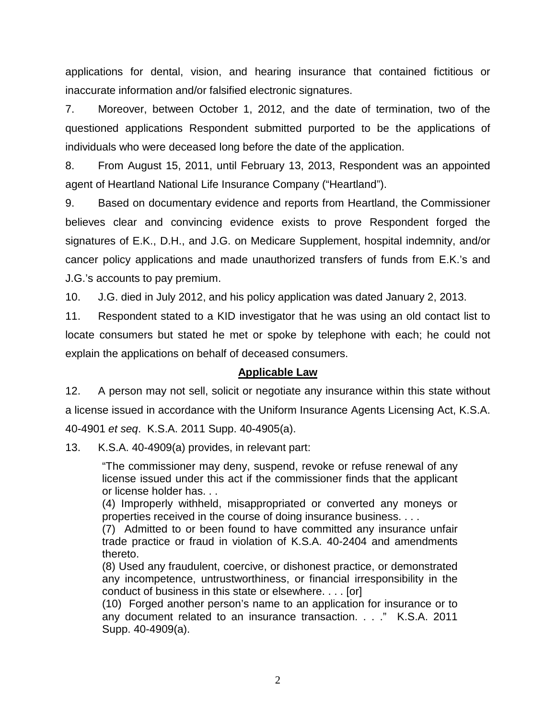applications for dental, vision, and hearing insurance that contained fictitious or inaccurate information and/or falsified electronic signatures.

7. Moreover, between October 1, 2012, and the date of termination, two of the questioned applications Respondent submitted purported to be the applications of individuals who were deceased long before the date of the application.

8. From August 15, 2011, until February 13, 2013, Respondent was an appointed agent of Heartland National Life Insurance Company ("Heartland").

9. Based on documentary evidence and reports from Heartland, the Commissioner believes clear and convincing evidence exists to prove Respondent forged the signatures of E.K., D.H., and J.G. on Medicare Supplement, hospital indemnity, and/or cancer policy applications and made unauthorized transfers of funds from E.K.'s and J.G.'s accounts to pay premium.

10. J.G. died in July 2012, and his policy application was dated January 2, 2013.

11. Respondent stated to a KID investigator that he was using an old contact list to locate consumers but stated he met or spoke by telephone with each; he could not explain the applications on behalf of deceased consumers.

## **Applicable Law**

12. A person may not sell, solicit or negotiate any insurance within this state without a license issued in accordance with the Uniform Insurance Agents Licensing Act, K.S.A. 40-4901 *et seq*. K.S.A. 2011 Supp. 40-4905(a).

13. K.S.A. 40-4909(a) provides, in relevant part:

"The commissioner may deny, suspend, revoke or refuse renewal of any license issued under this act if the commissioner finds that the applicant or license holder has. . .

(4) Improperly withheld, misappropriated or converted any moneys or properties received in the course of doing insurance business. . . .

(7) Admitted to or been found to have committed any insurance unfair trade practice or fraud in violation of K.S.A. 40-2404 and amendments thereto.

(8) Used any fraudulent, coercive, or dishonest practice, or demonstrated any incompetence, untrustworthiness, or financial irresponsibility in the conduct of business in this state or elsewhere. . . . [or]

(10) Forged another person's name to an application for insurance or to any document related to an insurance transaction. . . ." K.S.A. 2011 Supp. 40-4909(a).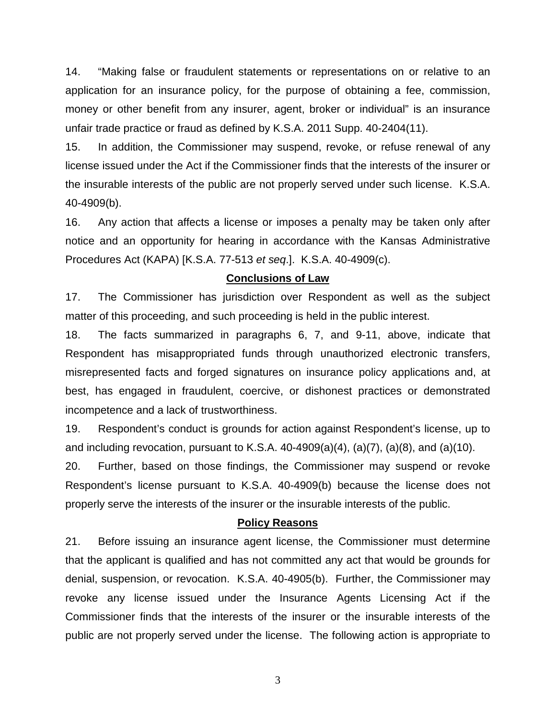14. "Making false or fraudulent statements or representations on or relative to an application for an insurance policy, for the purpose of obtaining a fee, commission, money or other benefit from any insurer, agent, broker or individual" is an insurance unfair trade practice or fraud as defined by K.S.A. 2011 Supp. 40-2404(11).

15. In addition, the Commissioner may suspend, revoke, or refuse renewal of any license issued under the Act if the Commissioner finds that the interests of the insurer or the insurable interests of the public are not properly served under such license. K.S.A. 40-4909(b).

16. Any action that affects a license or imposes a penalty may be taken only after notice and an opportunity for hearing in accordance with the Kansas Administrative Procedures Act (KAPA) [K.S.A. 77-513 *et seq*.]. K.S.A. 40-4909(c).

#### **Conclusions of Law**

17. The Commissioner has jurisdiction over Respondent as well as the subject matter of this proceeding, and such proceeding is held in the public interest.

18. The facts summarized in paragraphs 6, 7, and 9-11, above, indicate that Respondent has misappropriated funds through unauthorized electronic transfers, misrepresented facts and forged signatures on insurance policy applications and, at best, has engaged in fraudulent, coercive, or dishonest practices or demonstrated incompetence and a lack of trustworthiness.

19. Respondent's conduct is grounds for action against Respondent's license, up to and including revocation, pursuant to K.S.A.  $40-4909(a)(4)$ ,  $(a)(7)$ ,  $(a)(8)$ , and  $(a)(10)$ .

20. Further, based on those findings, the Commissioner may suspend or revoke Respondent's license pursuant to K.S.A. 40-4909(b) because the license does not properly serve the interests of the insurer or the insurable interests of the public.

#### **Policy Reasons**

21. Before issuing an insurance agent license, the Commissioner must determine that the applicant is qualified and has not committed any act that would be grounds for denial, suspension, or revocation. K.S.A. 40-4905(b). Further, the Commissioner may revoke any license issued under the Insurance Agents Licensing Act if the Commissioner finds that the interests of the insurer or the insurable interests of the public are not properly served under the license. The following action is appropriate to

3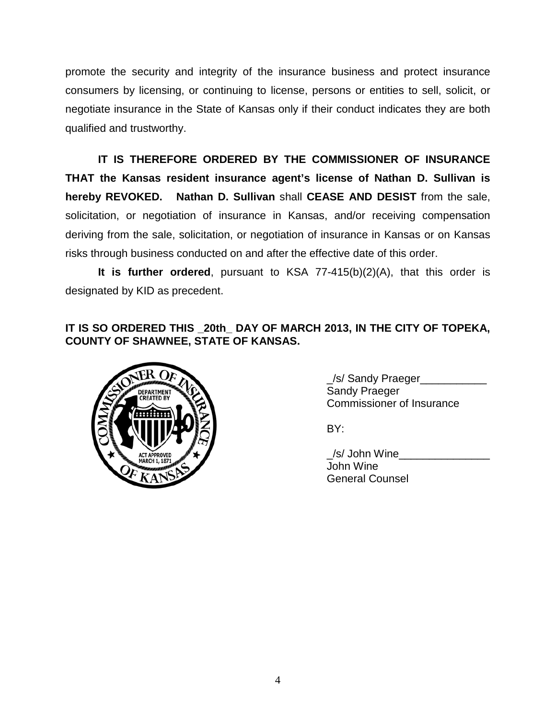promote the security and integrity of the insurance business and protect insurance consumers by licensing, or continuing to license, persons or entities to sell, solicit, or negotiate insurance in the State of Kansas only if their conduct indicates they are both qualified and trustworthy.

**IT IS THEREFORE ORDERED BY THE COMMISSIONER OF INSURANCE THAT the Kansas resident insurance agent's license of Nathan D. Sullivan is hereby REVOKED. Nathan D. Sullivan** shall **CEASE AND DESIST** from the sale, solicitation, or negotiation of insurance in Kansas, and/or receiving compensation deriving from the sale, solicitation, or negotiation of insurance in Kansas or on Kansas risks through business conducted on and after the effective date of this order.

**It is further ordered**, pursuant to KSA 77-415(b)(2)(A), that this order is designated by KID as precedent.

## **IT IS SO ORDERED THIS \_20th\_ DAY OF MARCH 2013, IN THE CITY OF TOPEKA, COUNTY OF SHAWNEE, STATE OF KANSAS.**



 $\angle$ /s/ Sandy Praeger Sandy Praeger Commissioner of Insurance

BY:

\_/s/ John Wine\_\_\_\_\_\_\_\_\_\_\_\_\_\_\_ John Wine General Counsel